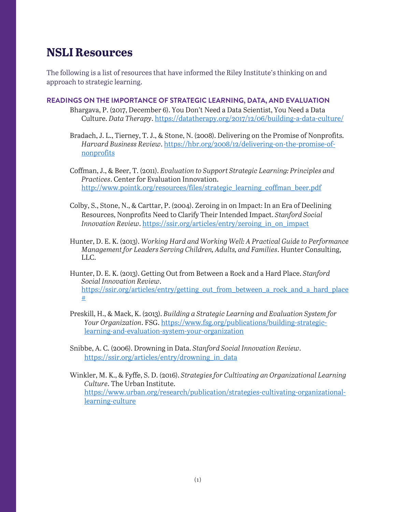# **NSLI Resources**

The following is a list of resources that have informed the Riley Institute's thinking on and approach to strategic learning.

## **READINGS ON THE IMPORTANCE OF STRATEGIC LEARNING, DATA, AND EVALUATION**

- Bhargava, P. (2017, December 6). You Don't Need a Data Scientist, You Need a Data Culture. *Data Therapy*[. https://datatherapy.org/2017/12/06/building-a-data-culture/](https://datatherapy.org/2017/12/06/building-a-data-culture/)
- Bradach, J. L., Tierney, T. J., & Stone, N. (2008). Delivering on the Promise of Nonprofits. *Harvard Business Review*. [https://hbr.org/2008/12/delivering-on-the-promise-of](https://hbr.org/2008/12/delivering-on-the-promise-of-nonprofits)[nonprofits](https://hbr.org/2008/12/delivering-on-the-promise-of-nonprofits)
- Coffman, J., & Beer, T. (2011). *Evaluation to Support Strategic Learning: Principles and Practices*. Center for Evaluation Innovation. [http://www.pointk.org/resources/files/strategic\\_learning\\_coffman\\_beer.pdf](http://www.pointk.org/resources/files/strategic_learning_coffman_beer.pdf)
- Colby, S., Stone, N., & Carttar, P. (2004). Zeroing in on Impact: In an Era of Declining Resources, Nonprofits Need to Clarify Their Intended Impact. *Stanford Social Innovation Review.* https://ssir.org/articles/entry/zeroing\_in\_on\_impact
- Hunter, D. E. K. (2013). *Working Hard and Working Well: A Practical Guide to Performance Management for Leaders Serving Children, Adults, and Families*. Hunter Consulting, LLC.
- Hunter, D. E. K. (2013). Getting Out from Between a Rock and a Hard Place. *Stanford Social Innovation Review*. [https://ssir.org/articles/entry/getting\\_out\\_from\\_between\\_a\\_rock\\_and\\_a\\_hard\\_place](https://ssir.org/articles/entry/getting_out_from_between_a_rock_and_a_hard_place) [#](https://ssir.org/articles/entry/getting_out_from_between_a_rock_and_a_hard_place)
- Preskill, H., & Mack, K. (2013). *Building a Strategic Learning and Evaluation System for Your Organization*. FSG. [https://www.fsg.org/publications/building-strategic](https://www.fsg.org/publications/building-strategic-learning-and-evaluation-system-your-organization)[learning-and-evaluation-system-your-organization](https://www.fsg.org/publications/building-strategic-learning-and-evaluation-system-your-organization)
- Snibbe, A. C. (2006). Drowning in Data. *Stanford Social Innovation Review*. [https://ssir.org/articles/entry/drowning\\_in\\_data](https://ssir.org/articles/entry/drowning_in_data)
- Winkler, M. K., & Fyffe, S. D. (2016). *Strategies for Cultivating an Organizational Learning Culture*. The Urban Institute. [https://www.urban.org/research/publication/strategies-cultivating-organizational](https://www.urban.org/research/publication/strategies-cultivating-organizational-learning-culture)[learning-culture](https://www.urban.org/research/publication/strategies-cultivating-organizational-learning-culture)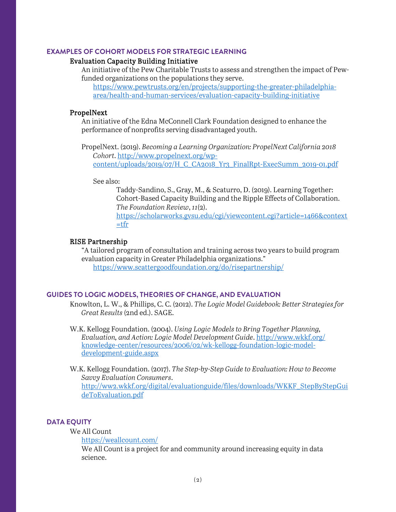#### **EXAMPLES OF COHORT MODELS FOR STRATEGIC LEARNING**

#### Evaluation Capacity Building Initiative

An initiative of the Pew Charitable Trusts to assess and strengthen the impact of Pewfunded organizations on the populations they serve.

 [https://www.pewtrusts.org/en/projects/supporting-the-greater-philadelphia](https://www.pewtrusts.org/en/projects/supporting-the-greater-philadelphia-area/health-and-human-services/evaluation-capacity-building-initiative)[area/health-and-human-services/evaluation-capacity-building-initiative](https://www.pewtrusts.org/en/projects/supporting-the-greater-philadelphia-area/health-and-human-services/evaluation-capacity-building-initiative) 

#### PropelNext

An initiative of the Edna McConnell Clark Foundation designed to enhance the performance of nonprofits serving disadvantaged youth.

PropelNext. (2019). *Becoming a Learning Organization: PropelNext California 2018 Cohort*. [http://www.propelnext.org/wp](http://www.propelnext.org/wp-content/uploads/2019/07/H_C_CA2018_Yr3_FinalRpt-ExecSumm_2019-01.pdf)[content/uploads/2019/07/H\\_C\\_CA2018\\_Yr3\\_FinalRpt-ExecSumm\\_2019-01.pdf](http://www.propelnext.org/wp-content/uploads/2019/07/H_C_CA2018_Yr3_FinalRpt-ExecSumm_2019-01.pdf)

See also:

Taddy-Sandino, S., Gray, M., & Scaturro, D. (2019). Learning Together: Cohort-Based Capacity Building and the Ripple Effects of Collaboration. *The Foundation Review*, *11*(2). [https://scholarworks.gvsu.edu/cgi/viewcontent.cgi?article=1466&context](https://scholarworks.gvsu.edu/cgi/viewcontent.cgi?article=1466&context=tfr)  $=$ tfr

## RISE Partnership

"A tailored program of consultation and training across two years to build program evaluation capacity in Greater Philadelphia organizations." <https://www.scattergoodfoundation.org/do/risepartnership/>

## **GUIDES TO LOGIC MODELS, THEORIES OF CHANGE, AND EVALUATION**

Knowlton, L. W., & Phillips, C. C. (2012). *The Logic Model Guidebook: Better Strategies for Great Results* (2nd ed.). SAGE.

W.K. Kellogg Foundation. (2004). *Using Logic Models to Bring Together Planning, Evaluation, and Action: Logic Model Development Guide*[. http://www.wkkf.org/](http://www.wkkf.org/%20knowledge-center/resources/2006/02/wk-kellogg-foundation-logic-model-development-guide.aspx)  [knowledge-center/resources/2006/02/wk-kellogg-foundation-logic-model](http://www.wkkf.org/%20knowledge-center/resources/2006/02/wk-kellogg-foundation-logic-model-development-guide.aspx)[development-guide.aspx](http://www.wkkf.org/%20knowledge-center/resources/2006/02/wk-kellogg-foundation-logic-model-development-guide.aspx)

W.K. Kellogg Foundation. (2017). *The Step-by-Step Guide to Evaluation: How to Become Savvy Evaluation Consumers*. [http://ww2.wkkf.org/digital/evaluationguide/files/downloads/WKKF\\_StepByStepGui](http://ww2.wkkf.org/digital/evaluationguide/files/downloads/WKKF_StepByStepGuideToEvaluation.pdf) [deToEvaluation.pdf](http://ww2.wkkf.org/digital/evaluationguide/files/downloads/WKKF_StepByStepGuideToEvaluation.pdf)

## **DATA EQUITY**

We All Count

<https://weallcount.com/>

We All Count is a project for and community around increasing equity in data science.